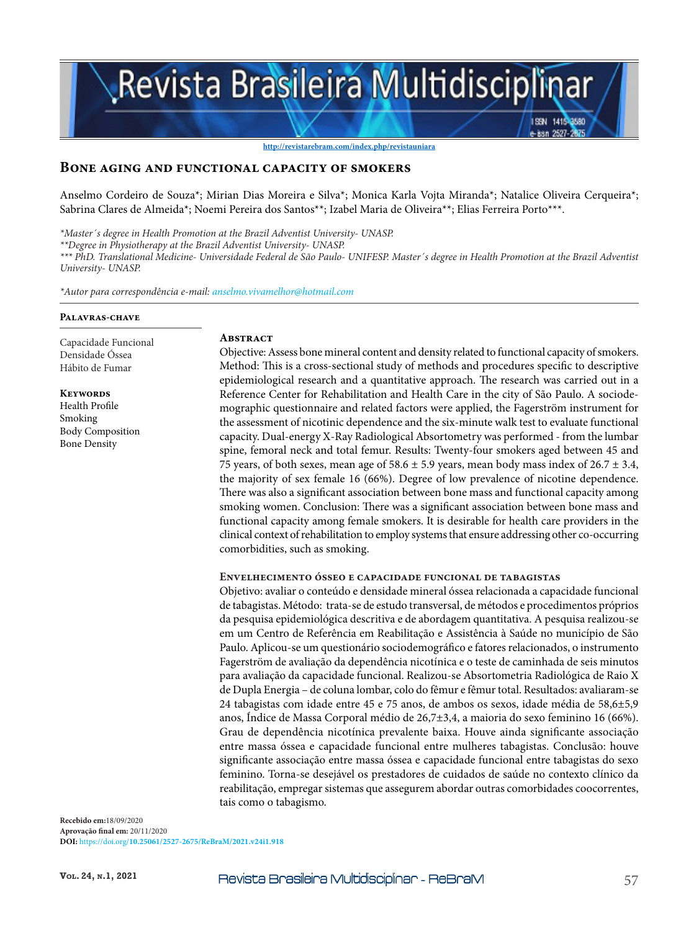# Revista Brasileira Multidisciplinar

**http://revistarebram.com/index.php/revistauniara**

#### **Bone aging and functional capacity of smokers**

Anselmo Cordeiro de Souza\*; Mirian Dias Moreira e Silva\*; Monica Karla Vojta Miranda\*; Natalice Oliveira Cerqueira\*; Sabrina Clares de Almeida\*; Noemi Pereira dos Santos\*\*; Izabel Maria de Oliveira\*\*; Elias Ferreira Porto\*\*\*.

*\*Master´s degree in Health Promotion at the Brazil Adventist University- UNASP.*

*\*\*Degree in Physiotherapy at the Brazil Adventist University- UNASP.*

*\*\*\* PhD. Translational Medicine- Universidade Federal de São Paulo- UNIFESP. Master´s degree in Health Promotion at the Brazil Adventist University- UNASP.*

*\*Autor para correspondência e-mail: anselmo.vivamelhor@hotmail.com*

#### **Palavras-chave**

Capacidade Funcional Densidade Óssea Hábito de Fumar

**Keywords** Health Profile Smoking Body Composition Bone Density

#### **Abstract**

Objective: Assess bone mineral content and density related to functional capacity of smokers. Method: This is a cross-sectional study of methods and procedures specific to descriptive epidemiological research and a quantitative approach. The research was carried out in a Reference Center for Rehabilitation and Health Care in the city of São Paulo. A sociodemographic questionnaire and related factors were applied, the Fagerström instrument for the assessment of nicotinic dependence and the six-minute walk test to evaluate functional capacity. Dual-energy X-Ray Radiological Absortometry was performed - from the lumbar spine, femoral neck and total femur. Results: Twenty-four smokers aged between 45 and 75 years, of both sexes, mean age of 58.6  $\pm$  5.9 years, mean body mass index of 26.7  $\pm$  3.4, the majority of sex female 16 (66%). Degree of low prevalence of nicotine dependence. There was also a significant association between bone mass and functional capacity among smoking women. Conclusion: There was a significant association between bone mass and functional capacity among female smokers. It is desirable for health care providers in the clinical context of rehabilitation to employ systems that ensure addressing other co-occurring comorbidities, such as smoking.

ISSN 1415-8580 -issn 2527-28

#### **Envelhecimento ósseo e capacidade funcional de tabagistas**

Objetivo: avaliar o conteúdo e densidade mineral óssea relacionada a capacidade funcional de tabagistas. Método: trata-se de estudo transversal, de métodos e procedimentos próprios da pesquisa epidemiológica descritiva e de abordagem quantitativa. A pesquisa realizou-se em um Centro de Referência em Reabilitação e Assistência à Saúde no município de São Paulo. Aplicou-se um questionário sociodemográfico e fatores relacionados, o instrumento Fagerström de avaliação da dependência nicotínica e o teste de caminhada de seis minutos para avaliação da capacidade funcional. Realizou-se Absortometria Radiológica de Raio X de Dupla Energia – de coluna lombar, colo do fêmur e fêmur total. Resultados: avaliaram-se 24 tabagistas com idade entre 45 e 75 anos, de ambos os sexos, idade média de 58,6±5,9 anos, Índice de Massa Corporal médio de 26,7±3,4, a maioria do sexo feminino 16 (66%). Grau de dependência nicotínica prevalente baixa. Houve ainda significante associação entre massa óssea e capacidade funcional entre mulheres tabagistas. Conclusão: houve significante associação entre massa óssea e capacidade funcional entre tabagistas do sexo feminino. Torna-se desejável os prestadores de cuidados de saúde no contexto clínico da reabilitação, empregar sistemas que assegurem abordar outras comorbidades coocorrentes, tais como o tabagismo.

**Recebido em:**18/09/2020 **Aprovação final em:** 20/11/2020 **DOI:** https://doi.org/**10.25061/2527-2675/ReBraM/2021.v24i1.918**

Vol. 24, N.1, 2021 **Revista Brasileira Multidisciplinar** - ReBraM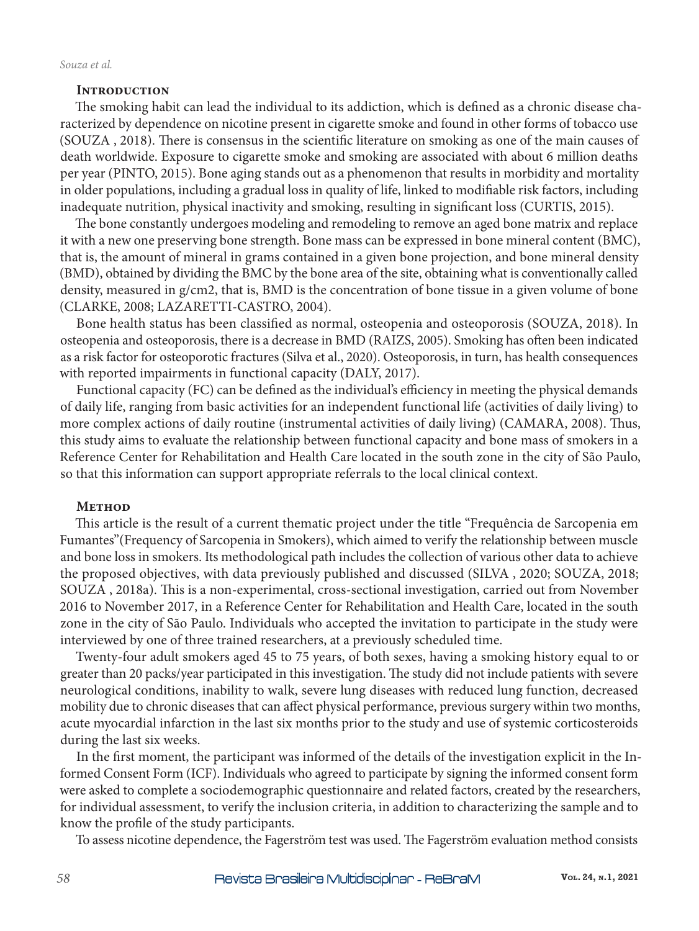#### **INTRODUCTION**

The smoking habit can lead the individual to its addiction, which is defined as a chronic disease characterized by dependence on nicotine present in cigarette smoke and found in other forms of tobacco use (SOUZA , 2018). There is consensus in the scientific literature on smoking as one of the main causes of death worldwide. Exposure to cigarette smoke and smoking are associated with about 6 million deaths per year (PINTO, 2015). Bone aging stands out as a phenomenon that results in morbidity and mortality in older populations, including a gradual loss in quality of life, linked to modifiable risk factors, including inadequate nutrition, physical inactivity and smoking, resulting in significant loss (CURTIS, 2015).

The bone constantly undergoes modeling and remodeling to remove an aged bone matrix and replace it with a new one preserving bone strength. Bone mass can be expressed in bone mineral content (BMC), that is, the amount of mineral in grams contained in a given bone projection, and bone mineral density (BMD), obtained by dividing the BMC by the bone area of the site, obtaining what is conventionally called density, measured in g/cm2, that is, BMD is the concentration of bone tissue in a given volume of bone (CLARKE, 2008; LAZARETTI-CASTRO, 2004).

Bone health status has been classified as normal, osteopenia and osteoporosis (SOUZA, 2018). In osteopenia and osteoporosis, there is a decrease in BMD (RAIZS, 2005). Smoking has often been indicated as a risk factor for osteoporotic fractures (Silva et al., 2020). Osteoporosis, in turn, has health consequences with reported impairments in functional capacity (DALY, 2017).

Functional capacity (FC) can be defined as the individual's efficiency in meeting the physical demands of daily life, ranging from basic activities for an independent functional life (activities of daily living) to more complex actions of daily routine (instrumental activities of daily living) (CAMARA, 2008). Thus, this study aims to evaluate the relationship between functional capacity and bone mass of smokers in a Reference Center for Rehabilitation and Health Care located in the south zone in the city of São Paulo, so that this information can support appropriate referrals to the local clinical context.

# **Method**

This article is the result of a current thematic project under the title "Frequência de Sarcopenia em Fumantes"(Frequency of Sarcopenia in Smokers), which aimed to verify the relationship between muscle and bone loss in smokers. Its methodological path includes the collection of various other data to achieve the proposed objectives, with data previously published and discussed (SILVA , 2020; SOUZA, 2018; SOUZA , 2018a). This is a non-experimental, cross-sectional investigation, carried out from November 2016 to November 2017, in a Reference Center for Rehabilitation and Health Care, located in the south zone in the city of São Paulo. Individuals who accepted the invitation to participate in the study were interviewed by one of three trained researchers, at a previously scheduled time.

Twenty-four adult smokers aged 45 to 75 years, of both sexes, having a smoking history equal to or greater than 20 packs/year participated in this investigation. The study did not include patients with severe neurological conditions, inability to walk, severe lung diseases with reduced lung function, decreased mobility due to chronic diseases that can affect physical performance, previous surgery within two months, acute myocardial infarction in the last six months prior to the study and use of systemic corticosteroids during the last six weeks.

In the first moment, the participant was informed of the details of the investigation explicit in the Informed Consent Form (ICF). Individuals who agreed to participate by signing the informed consent form were asked to complete a sociodemographic questionnaire and related factors, created by the researchers, for individual assessment, to verify the inclusion criteria, in addition to characterizing the sample and to know the profile of the study participants.

To assess nicotine dependence, the Fagerström test was used. The Fagerström evaluation method consists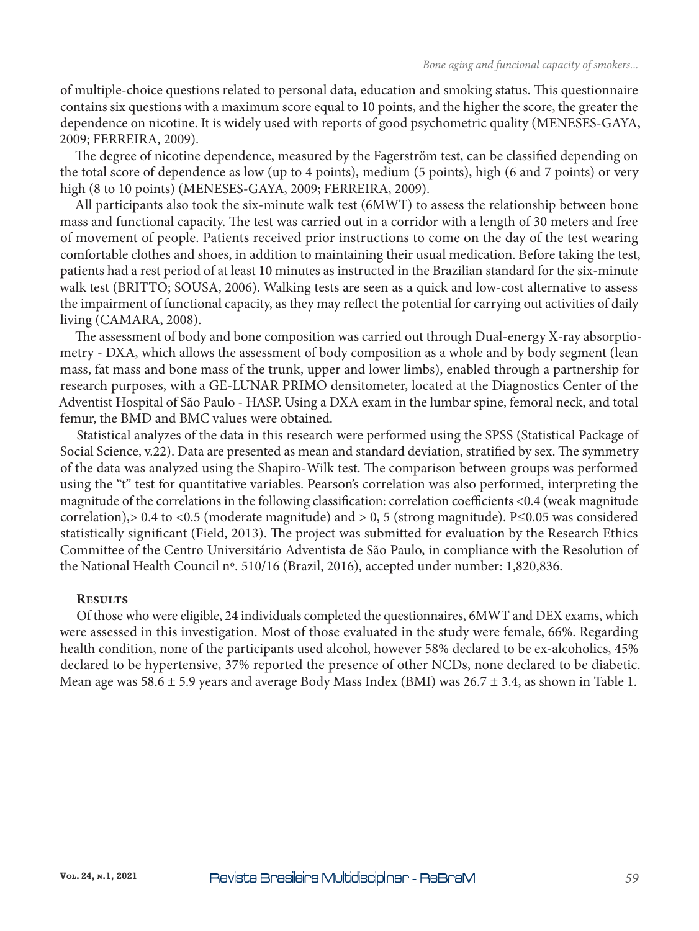of multiple-choice questions related to personal data, education and smoking status. This questionnaire contains six questions with a maximum score equal to 10 points, and the higher the score, the greater the dependence on nicotine. It is widely used with reports of good psychometric quality (MENESES-GAYA, 2009; FERREIRA, 2009).

The degree of nicotine dependence, measured by the Fagerström test, can be classified depending on the total score of dependence as low (up to 4 points), medium (5 points), high (6 and 7 points) or very high (8 to 10 points) (MENESES-GAYA, 2009; FERREIRA, 2009).

All participants also took the six-minute walk test (6MWT) to assess the relationship between bone mass and functional capacity. The test was carried out in a corridor with a length of 30 meters and free of movement of people. Patients received prior instructions to come on the day of the test wearing comfortable clothes and shoes, in addition to maintaining their usual medication. Before taking the test, patients had a rest period of at least 10 minutes as instructed in the Brazilian standard for the six-minute walk test (BRITTO; SOUSA, 2006). Walking tests are seen as a quick and low-cost alternative to assess the impairment of functional capacity, as they may reflect the potential for carrying out activities of daily living (CAMARA, 2008).

The assessment of body and bone composition was carried out through Dual-energy X-ray absorptiometry - DXA, which allows the assessment of body composition as a whole and by body segment (lean mass, fat mass and bone mass of the trunk, upper and lower limbs), enabled through a partnership for research purposes, with a GE-LUNAR PRIMO densitometer, located at the Diagnostics Center of the Adventist Hospital of São Paulo - HASP. Using a DXA exam in the lumbar spine, femoral neck, and total femur, the BMD and BMC values were obtained.

Statistical analyzes of the data in this research were performed using the SPSS (Statistical Package of Social Science, v.22). Data are presented as mean and standard deviation, stratified by sex. The symmetry of the data was analyzed using the Shapiro-Wilk test. The comparison between groups was performed using the "t" test for quantitative variables. Pearson's correlation was also performed, interpreting the magnitude of the correlations in the following classification: correlation coefficients <0.4 (weak magnitude correlation),> 0.4 to <0.5 (moderate magnitude) and > 0, 5 (strong magnitude). P≤0.05 was considered statistically significant (Field, 2013). The project was submitted for evaluation by the Research Ethics Committee of the Centro Universitário Adventista de São Paulo, in compliance with the Resolution of the National Health Council nº. 510/16 (Brazil, 2016), accepted under number: 1,820,836.

# **Results**

Of those who were eligible, 24 individuals completed the questionnaires, 6MWT and DEX exams, which were assessed in this investigation. Most of those evaluated in the study were female, 66%. Regarding health condition, none of the participants used alcohol, however 58% declared to be ex-alcoholics, 45% declared to be hypertensive, 37% reported the presence of other NCDs, none declared to be diabetic. Mean age was 58.6  $\pm$  5.9 years and average Body Mass Index (BMI) was 26.7  $\pm$  3.4, as shown in Table 1.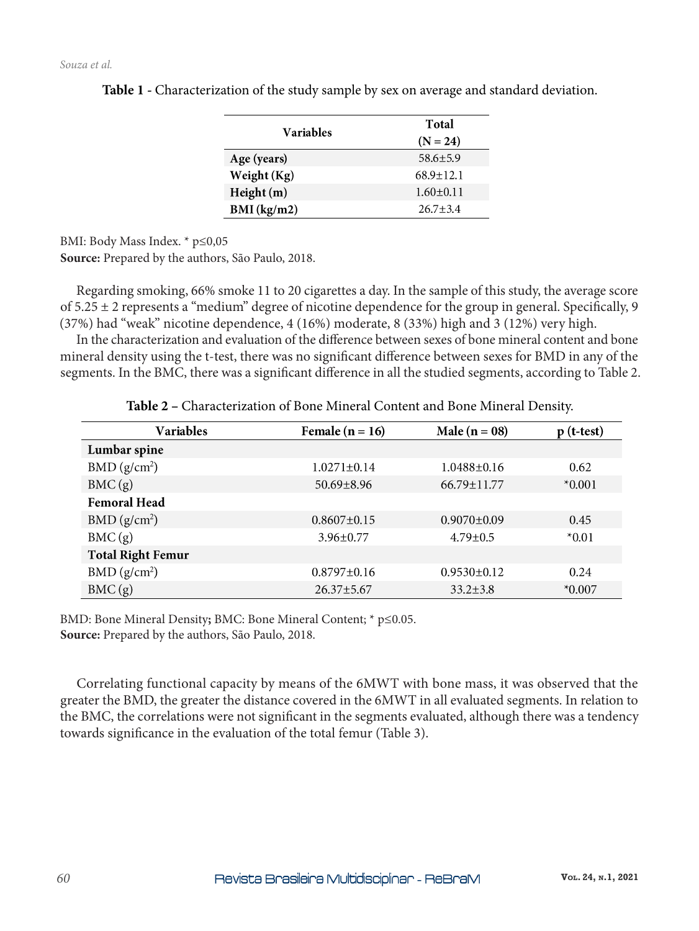| Variables   | Total           |  |
|-------------|-----------------|--|
|             | $(N = 24)$      |  |
| Age (years) | $58.6 + 5.9$    |  |
| Weight (Kg) | $68.9 + 12.1$   |  |
| Height (m)  | $1.60 \pm 0.11$ |  |
| BMI (kg/m2) | $26.7 + 3.4$    |  |

**Table 1 -** Characterization of the study sample by sex on average and standard deviation.

BMI: Body Mass Index. \* p≤0,05

**Source:** Prepared by the authors, São Paulo, 2018.

Regarding smoking, 66% smoke 11 to 20 cigarettes a day. In the sample of this study, the average score of  $5.25 \pm 2$  represents a "medium" degree of nicotine dependence for the group in general. Specifically, 9 (37%) had "weak" nicotine dependence, 4 (16%) moderate, 8 (33%) high and 3 (12%) very high.

In the characterization and evaluation of the difference between sexes of bone mineral content and bone mineral density using the t-test, there was no significant difference between sexes for BMD in any of the segments. In the BMC, there was a significant difference in all the studied segments, according to Table 2.

| <b>Variables</b>         | Female $(n = 16)$ | Male $(n = 08)$   | $p$ (t-test) |
|--------------------------|-------------------|-------------------|--------------|
| Lumbar spine             |                   |                   |              |
| BMD (g/cm <sup>2</sup> ) | $1.0271 \pm 0.14$ | $1.0488 \pm 0.16$ | 0.62         |
| BMC(g)                   | $50.69 \pm 8.96$  | 66.79±11.77       | $*0.001$     |
| <b>Femoral Head</b>      |                   |                   |              |
| BMD (g/cm <sup>2</sup> ) | $0.8607 \pm 0.15$ | $0.9070 \pm 0.09$ | 0.45         |
| BMC(g)                   | $3.96 \pm 0.77$   | $4.79 \pm 0.5$    | $*0.01$      |
| <b>Total Right Femur</b> |                   |                   |              |
| BMD (g/cm <sup>2</sup> ) | $0.8797 \pm 0.16$ | $0.9530 \pm 0.12$ | 0.24         |
| BMC(g)                   | $26.37 \pm 5.67$  | $33.2 \pm 3.8$    | $*0.007$     |

**Table 2 –** Characterization of Bone Mineral Content and Bone Mineral Density.

BMD: Bone Mineral Density**;** BMC: Bone Mineral Content; \* p≤0.05. **Source:** Prepared by the authors, São Paulo, 2018.

Correlating functional capacity by means of the 6MWT with bone mass, it was observed that the greater the BMD, the greater the distance covered in the 6MWT in all evaluated segments. In relation to the BMC, the correlations were not significant in the segments evaluated, although there was a tendency towards significance in the evaluation of the total femur (Table 3).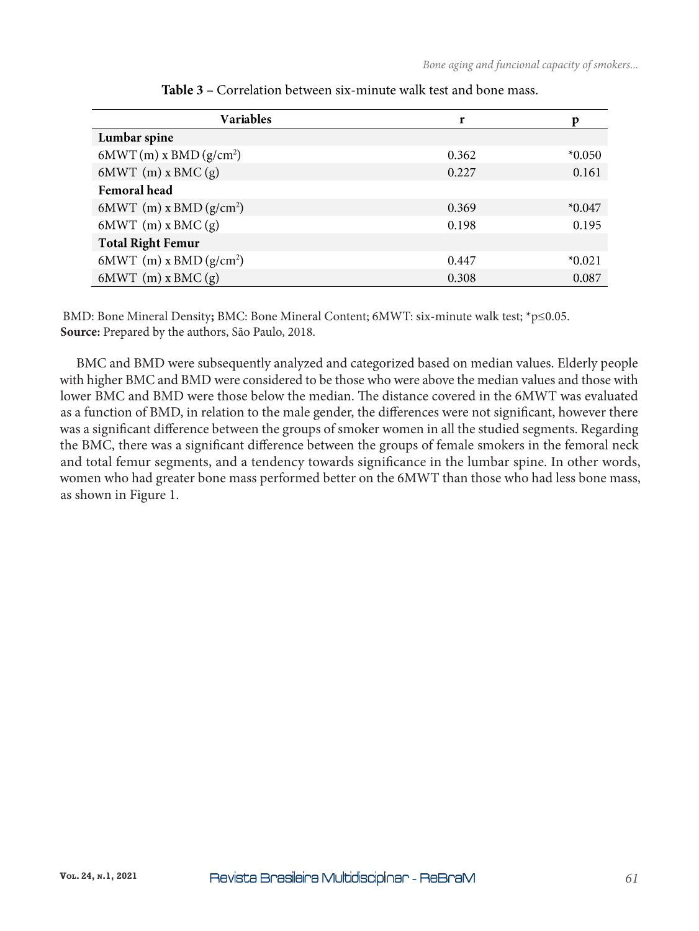| <b>Variables</b>           | r     | р        |
|----------------------------|-------|----------|
| Lumbar spine               |       |          |
| $6MWT(m)$ x BMD $(g/cm^2)$ | 0.362 | $*0.050$ |
| $6MWT$ (m) x BMC (g)       | 0.227 | 0.161    |
| <b>Femoral</b> head        |       |          |
| 6MWT (m) x BMD $(g/cm^2)$  | 0.369 | $*0.047$ |
| $6MWT$ (m) x BMC (g)       | 0.198 | 0.195    |
| <b>Total Right Femur</b>   |       |          |
| 6MWT (m) x BMD $(g/cm^2)$  | 0.447 | $*0.021$ |
| $6MWT(m)$ x BMC $(g)$      | 0.308 | 0.087    |

| <b>Table 3 – Correlation between six-minute walk test and bone mass.</b> |
|--------------------------------------------------------------------------|
|--------------------------------------------------------------------------|

 BMD: Bone Mineral Density**;** BMC: Bone Mineral Content; 6MWT: six-minute walk test; \*p≤0.05. **Source:** Prepared by the authors, São Paulo, 2018.

BMC and BMD were subsequently analyzed and categorized based on median values. Elderly people with higher BMC and BMD were considered to be those who were above the median values and those with lower BMC and BMD were those below the median. The distance covered in the 6MWT was evaluated as a function of BMD, in relation to the male gender, the differences were not significant, however there was a significant difference between the groups of smoker women in all the studied segments. Regarding the BMC, there was a significant difference between the groups of female smokers in the femoral neck and total femur segments, and a tendency towards significance in the lumbar spine. In other words, women who had greater bone mass performed better on the 6MWT than those who had less bone mass, as shown in Figure 1.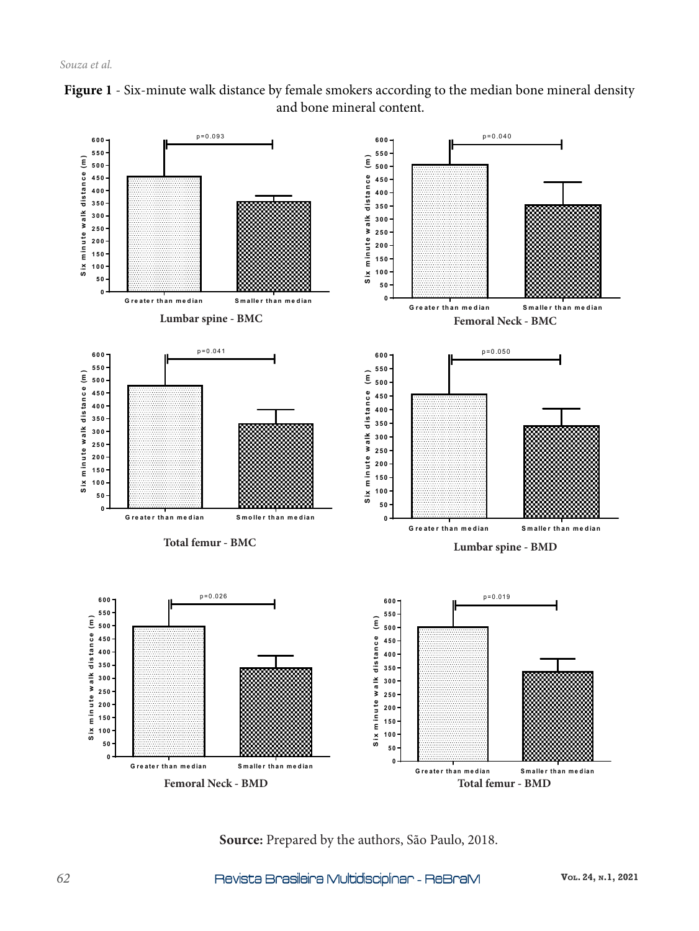



**Source:** Prepared by the authors, São Paulo, 2018.

**Vol. 24, n.1, 2021**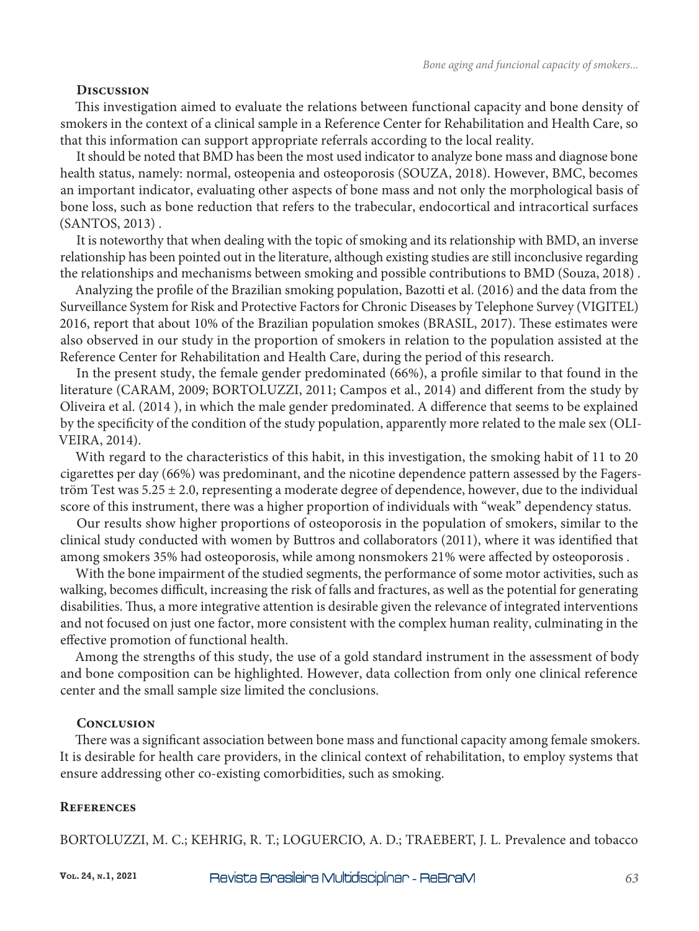# **Discussion**

This investigation aimed to evaluate the relations between functional capacity and bone density of smokers in the context of a clinical sample in a Reference Center for Rehabilitation and Health Care, so that this information can support appropriate referrals according to the local reality.

It should be noted that BMD has been the most used indicator to analyze bone mass and diagnose bone health status, namely: normal, osteopenia and osteoporosis (SOUZA, 2018). However, BMC, becomes an important indicator, evaluating other aspects of bone mass and not only the morphological basis of bone loss, such as bone reduction that refers to the trabecular, endocortical and intracortical surfaces (SANTOS, 2013) .

It is noteworthy that when dealing with the topic of smoking and its relationship with BMD, an inverse relationship has been pointed out in the literature, although existing studies are still inconclusive regarding the relationships and mechanisms between smoking and possible contributions to BMD (Souza, 2018) .

Analyzing the profile of the Brazilian smoking population, Bazotti et al. (2016) and the data from the Surveillance System for Risk and Protective Factors for Chronic Diseases by Telephone Survey (VIGITEL) 2016, report that about 10% of the Brazilian population smokes (BRASIL, 2017). These estimates were also observed in our study in the proportion of smokers in relation to the population assisted at the Reference Center for Rehabilitation and Health Care, during the period of this research.

In the present study, the female gender predominated (66%), a profile similar to that found in the literature (CARAM, 2009; BORTOLUZZI, 2011; Campos et al., 2014) and different from the study by Oliveira et al. (2014 ), in which the male gender predominated. A difference that seems to be explained by the specificity of the condition of the study population, apparently more related to the male sex (OLI-VEIRA, 2014).

With regard to the characteristics of this habit, in this investigation, the smoking habit of 11 to 20 cigarettes per day (66%) was predominant, and the nicotine dependence pattern assessed by the Fagerström Test was  $5.25 \pm 2.0$ , representing a moderate degree of dependence, however, due to the individual score of this instrument, there was a higher proportion of individuals with "weak" dependency status.

Our results show higher proportions of osteoporosis in the population of smokers, similar to the clinical study conducted with women by Buttros and collaborators (2011), where it was identified that among smokers 35% had osteoporosis, while among nonsmokers 21% were affected by osteoporosis .

With the bone impairment of the studied segments, the performance of some motor activities, such as walking, becomes difficult, increasing the risk of falls and fractures, as well as the potential for generating disabilities. Thus, a more integrative attention is desirable given the relevance of integrated interventions and not focused on just one factor, more consistent with the complex human reality, culminating in the effective promotion of functional health.

Among the strengths of this study, the use of a gold standard instrument in the assessment of body and bone composition can be highlighted. However, data collection from only one clinical reference center and the small sample size limited the conclusions.

# **Conclusion**

There was a significant association between bone mass and functional capacity among female smokers. It is desirable for health care providers, in the clinical context of rehabilitation, to employ systems that ensure addressing other co-existing comorbidities, such as smoking.

# **References**

BORTOLUZZI, M. C.; KEHRIG, R. T.; LOGUERCIO, A. D.; TRAEBERT, J. L. Prevalence and tobacco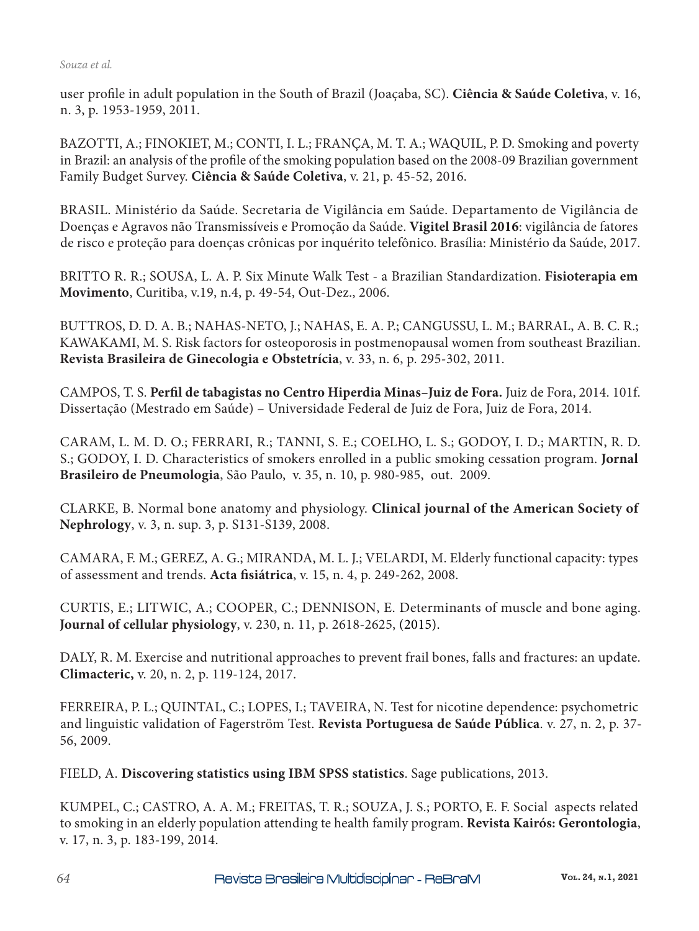user profile in adult population in the South of Brazil (Joaçaba, SC). **Ciência & Saúde Coletiva**, v. 16, n. 3, p. 1953-1959, 2011.

BAZOTTI, A.; FINOKIET, M.; CONTI, I. L.; FRANÇA, M. T. A.; WAQUIL, P. D. Smoking and poverty in Brazil: an analysis of the profile of the smoking population based on the 2008-09 Brazilian government Family Budget Survey. **Ciência & Saúde Coletiva**, v. 21, p. 45-52, 2016.

BRASIL. Ministério da Saúde. Secretaria de Vigilância em Saúde. Departamento de Vigilância de Doenças e Agravos não Transmissíveis e Promoção da Saúde. **Vigitel Brasil 2016**: vigilância de fatores de risco e proteção para doenças crônicas por inquérito telefônico. Brasília: Ministério da Saúde, 2017.

BRITTO R. R.; SOUSA, L. A. P. Six Minute Walk Test - a Brazilian Standardization. **Fisioterapia em Movimento**, Curitiba, v.19, n.4, p. 49-54, Out-Dez., 2006.

BUTTROS, D. D. A. B.; NAHAS-NETO, J.; NAHAS, E. A. P.; CANGUSSU, L. M.; BARRAL, A. B. C. R.; KAWAKAMI, M. S. Risk factors for osteoporosis in postmenopausal women from southeast Brazilian. **Revista Brasileira de Ginecologia e Obstetrícia**, v. 33, n. 6, p. 295-302, 2011.

CAMPOS, T. S. **Perfil de tabagistas no Centro Hiperdia Minas–Juiz de Fora.** Juiz de Fora, 2014. 101f. Dissertação (Mestrado em Saúde) – Universidade Federal de Juiz de Fora, Juiz de Fora, 2014.

CARAM, L. M. D. O.; FERRARI, R.; TANNI, S. E.; COELHO, L. S.; GODOY, I. D.; MARTIN, R. D. S.; GODOY, I. D. Characteristics of smokers enrolled in a public smoking cessation program. **Jornal Brasileiro de Pneumologia**, São Paulo, v. 35, n. 10, p. 980-985, out. 2009.

CLARKE, B. Normal bone anatomy and physiology. **Clinical journal of the American Society of Nephrology**, v. 3, n. sup. 3, p. S131-S139, 2008.

CAMARA, F. M.; GEREZ, A. G.; MIRANDA, M. L. J.; VELARDI, M. Elderly functional capacity: types of assessment and trends. **Acta fisiátrica**, v. 15, n. 4, p. 249-262, 2008.

CURTIS, E.; LITWIC, A.; COOPER, C.; DENNISON, E. Determinants of muscle and bone aging. **Journal of cellular physiology**, v. 230, n. 11, p. 2618-2625, (2015).

DALY, R. M. Exercise and nutritional approaches to prevent frail bones, falls and fractures: an update. **Climacteric,** v. 20, n. 2, p. 119-124, 2017.

FERREIRA, P. L.; QUINTAL, C.; LOPES, I.; TAVEIRA, N. Test for nicotine dependence: psychometric and linguistic validation of Fagerström Test. **Revista Portuguesa de Saúde Pública**. v. 27, n. 2, p. 37- 56, 2009.

FIELD, A. **Discovering statistics using IBM SPSS statistics**. Sage publications, 2013.

KUMPEL, C.; CASTRO, A. A. M.; FREITAS, T. R.; SOUZA, J. S.; PORTO, E. F. Social aspects related to smoking in an elderly population attending te health family program. **Revista Kairós: Gerontologia**, v. 17, n. 3, p. 183-199, 2014.